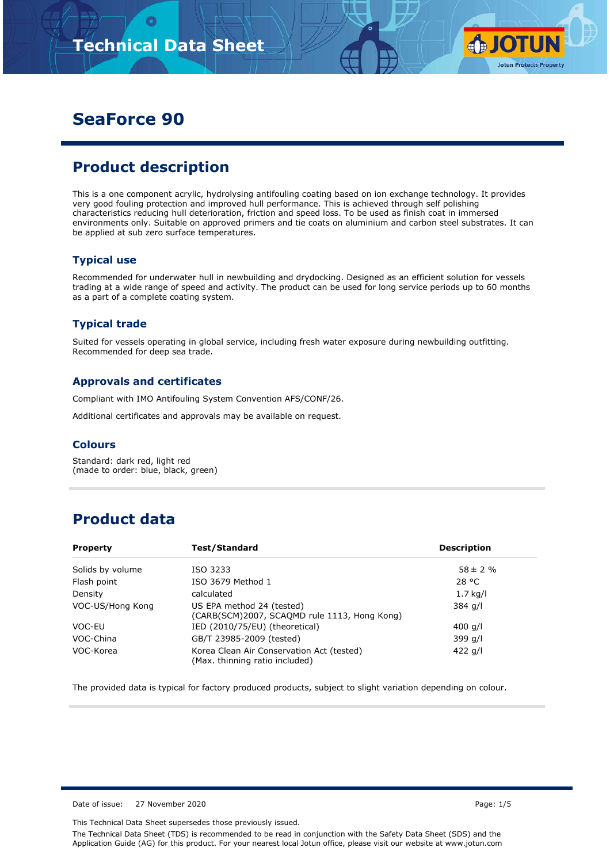

# **SeaForce 90**

# **Product description**

This is a one component acrylic, hydrolysing antifouling coating based on ion exchange technology. It provides very good fouling protection and improved hull performance. This is achieved through self polishing characteristics reducing hull deterioration, friction and speed loss. To be used as finish coat in immersed environments only. Suitable on approved primers and tie coats on aluminium and carbon steel substrates. It can be applied at sub zero surface temperatures.

### **Typical use**

Recommended for underwater hull in newbuilding and drydocking. Designed as an efficient solution for vessels trading at a wide range of speed and activity. The product can be used for long service periods up to 60 months as a part of a complete coating system.

### **Typical trade**

Suited for vessels operating in global service, including fresh water exposure during newbuilding outfitting. Recommended for deep sea trade.

#### **Approvals and certificates**

Compliant with IMO Antifouling System Convention AFS/CONF/26.

Additional certificates and approvals may be available on request.

#### **Colours**

Standard: dark red, light red (made to order: blue, black, green)

### **Product data**

| Test/Standard<br><b>Property</b> |                                                                             | <b>Description</b> |  |  |
|----------------------------------|-----------------------------------------------------------------------------|--------------------|--|--|
| Solids by volume                 | ISO 3233                                                                    | $58 \pm 2 \%$      |  |  |
| Flash point                      | ISO 3679 Method 1                                                           | 28 °C              |  |  |
| Density                          | calculated                                                                  | $1.7$ kg/l         |  |  |
| VOC-US/Hong Kong                 | US EPA method 24 (tested)<br>(CARB(SCM)2007, SCAQMD rule 1113, Hong Kong)   | 384 g/l            |  |  |
| VOC-EU                           | IED (2010/75/EU) (theoretical)                                              | 400 g/l            |  |  |
| VOC-China                        | GB/T 23985-2009 (tested)                                                    | 399 g/l            |  |  |
| VOC-Korea                        | Korea Clean Air Conservation Act (tested)<br>(Max. thinning ratio included) | 422 g/l            |  |  |

The provided data is typical for factory produced products, subject to slight variation depending on colour.

Date of issue: 27 November 2020 **Page: 1/5**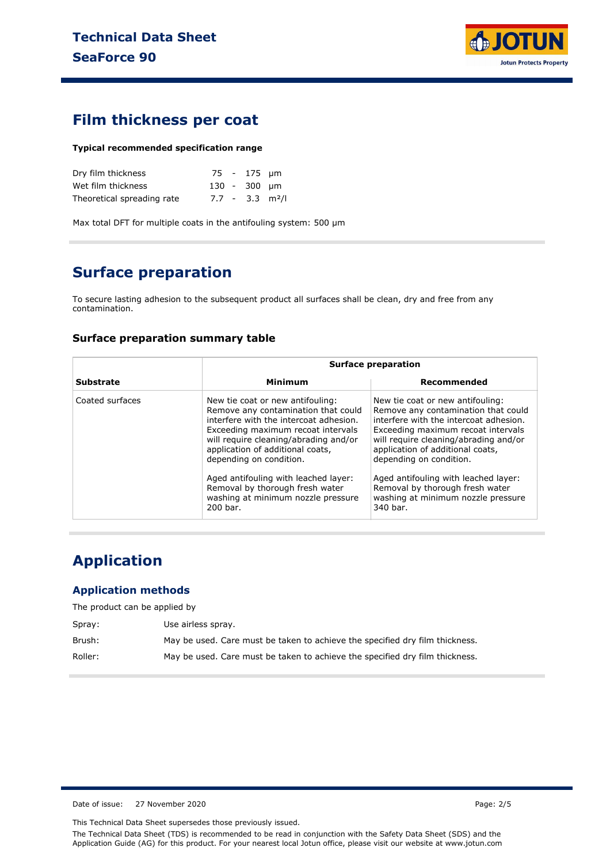

### **Film thickness per coat**

#### **Typical recommended specification range**

| Dry film thickness         |  | 75 - 175 µm  |                               |
|----------------------------|--|--------------|-------------------------------|
| Wet film thickness         |  | 130 - 300 µm |                               |
| Theoretical spreading rate |  |              | $7.7 - 3.3$ m <sup>2</sup> /l |

Max total DFT for multiple coats in the antifouling system: 500 µm

# **Surface preparation**

To secure lasting adhesion to the subsequent product all surfaces shall be clean, dry and free from any contamination.

#### **Surface preparation summary table**

|                  |                                                                                                                                                                                                                                                                                                         | <b>Surface preparation</b>                                                                                                                                                                                                                                                                              |  |  |  |
|------------------|---------------------------------------------------------------------------------------------------------------------------------------------------------------------------------------------------------------------------------------------------------------------------------------------------------|---------------------------------------------------------------------------------------------------------------------------------------------------------------------------------------------------------------------------------------------------------------------------------------------------------|--|--|--|
| <b>Substrate</b> | Minimum                                                                                                                                                                                                                                                                                                 | Recommended                                                                                                                                                                                                                                                                                             |  |  |  |
| Coated surfaces  | New tie coat or new antifouling:<br>Remove any contamination that could<br>interfere with the intercoat adhesion.<br>Exceeding maximum recoat intervals<br>will require cleaning/abrading and/or<br>application of additional coats,<br>depending on condition.<br>Aged antifouling with leached layer: | New tie coat or new antifouling:<br>Remove any contamination that could<br>interfere with the intercoat adhesion.<br>Exceeding maximum recoat intervals<br>will require cleaning/abrading and/or<br>application of additional coats,<br>depending on condition.<br>Aged antifouling with leached layer: |  |  |  |
|                  | Removal by thorough fresh water<br>washing at minimum nozzle pressure<br>200 bar.                                                                                                                                                                                                                       | Removal by thorough fresh water<br>washing at minimum nozzle pressure<br>340 bar.                                                                                                                                                                                                                       |  |  |  |

# **Application**

#### **Application methods**

The product can be applied by

| Spray:  | Use airless spray.                                                           |
|---------|------------------------------------------------------------------------------|
| Brush:  | May be used. Care must be taken to achieve the specified dry film thickness. |
| Roller: | May be used. Care must be taken to achieve the specified dry film thickness. |

Date of issue: 27 November 2020 **Page: 2/5** 

This Technical Data Sheet supersedes those previously issued.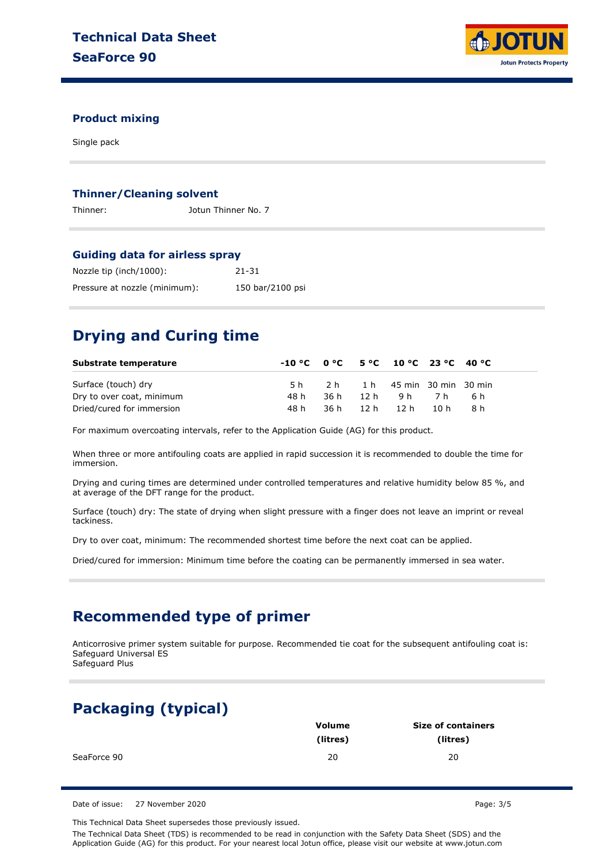

### **Product mixing**

Single pack

#### **Thinner/Cleaning solvent**

Thinner: Jotun Thinner No. 7

#### **Guiding data for airless spray**

| Nozzle tip (inch/1000):       | $21 - 31$        |
|-------------------------------|------------------|
| Pressure at nozzle (minimum): | 150 bar/2100 psi |

### **Drying and Curing time**

| Substrate temperature     |      |     | $-10\degree$ C $0\degree$ C $5\degree$ C $10\degree$ C $23\degree$ C $40\degree$ C |        |      |  |
|---------------------------|------|-----|------------------------------------------------------------------------------------|--------|------|--|
| Surface (touch) dry       | 5 h  | 2 h | 1 h 45 min 30 min 30 min                                                           |        |      |  |
| Dry to over coat, minimum | 48 h |     | 36h 12h 9h 7h                                                                      |        | .6 h |  |
| Dried/cured for immersion | 48 h |     | 36h 12h 12h                                                                        | - 10 h | R h  |  |

For maximum overcoating intervals, refer to the Application Guide (AG) for this product.

When three or more antifouling coats are applied in rapid succession it is recommended to double the time for immersion.

Drying and curing times are determined under controlled temperatures and relative humidity below 85 %, and at average of the DFT range for the product.

Surface (touch) dry: The state of drying when slight pressure with a finger does not leave an imprint or reveal tackiness.

Dry to over coat, minimum: The recommended shortest time before the next coat can be applied.

Dried/cured for immersion: Minimum time before the coating can be permanently immersed in sea water.

### **Recommended type of primer**

Anticorrosive primer system suitable for purpose. Recommended tie coat for the subsequent antifouling coat is: Safeguard Universal ES Safeguard Plus

# **Packaging (typical)**

|             | Volume   | <b>Size of containers</b> |  |  |
|-------------|----------|---------------------------|--|--|
|             | (litres) | (litres)                  |  |  |
| SeaForce 90 | 20       | 20                        |  |  |

Date of issue: 27 November 2020 **Page: 3/5** 

This Technical Data Sheet supersedes those previously issued.

The Technical Data Sheet (TDS) is recommended to be read in conjunction with the Safety Data Sheet (SDS) and the Application Guide (AG) for this product. For your nearest local Jotun office, please visit our website at www.jotun.com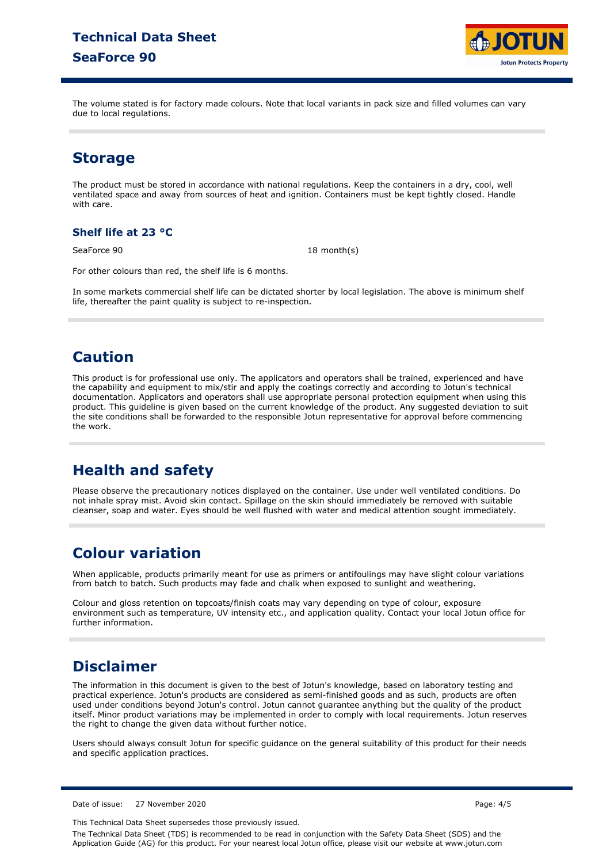

The volume stated is for factory made colours. Note that local variants in pack size and filled volumes can vary due to local regulations.

# **Storage**

The product must be stored in accordance with national regulations. Keep the containers in a dry, cool, well ventilated space and away from sources of heat and ignition. Containers must be kept tightly closed. Handle with care.

### **Shelf life at 23 °C**

SeaForce 90 18 month(s)

For other colours than red, the shelf life is 6 months.

In some markets commercial shelf life can be dictated shorter by local legislation. The above is minimum shelf life, thereafter the paint quality is subject to re-inspection.

# **Caution**

This product is for professional use only. The applicators and operators shall be trained, experienced and have the capability and equipment to mix/stir and apply the coatings correctly and according to Jotun's technical documentation. Applicators and operators shall use appropriate personal protection equipment when using this product. This guideline is given based on the current knowledge of the product. Any suggested deviation to suit the site conditions shall be forwarded to the responsible Jotun representative for approval before commencing the work.

# **Health and safety**

Please observe the precautionary notices displayed on the container. Use under well ventilated conditions. Do not inhale spray mist. Avoid skin contact. Spillage on the skin should immediately be removed with suitable cleanser, soap and water. Eyes should be well flushed with water and medical attention sought immediately.

# **Colour variation**

When applicable, products primarily meant for use as primers or antifoulings may have slight colour variations from batch to batch. Such products may fade and chalk when exposed to sunlight and weathering.

Colour and gloss retention on topcoats/finish coats may vary depending on type of colour, exposure environment such as temperature, UV intensity etc., and application quality. Contact your local Jotun office for further information.

# **Disclaimer**

The information in this document is given to the best of Jotun's knowledge, based on laboratory testing and practical experience. Jotun's products are considered as semi-finished goods and as such, products are often used under conditions beyond Jotun's control. Jotun cannot guarantee anything but the quality of the product itself. Minor product variations may be implemented in order to comply with local requirements. Jotun reserves the right to change the given data without further notice.

Users should always consult Jotun for specific guidance on the general suitability of this product for their needs and specific application practices.

Date of issue: 27 November 2020

This Technical Data Sheet supersedes those previously issued.

The Technical Data Sheet (TDS) is recommended to be read in conjunction with the Safety Data Sheet (SDS) and the Application Guide (AG) for this product. For your nearest local Jotun office, please visit our website at www.jotun.com